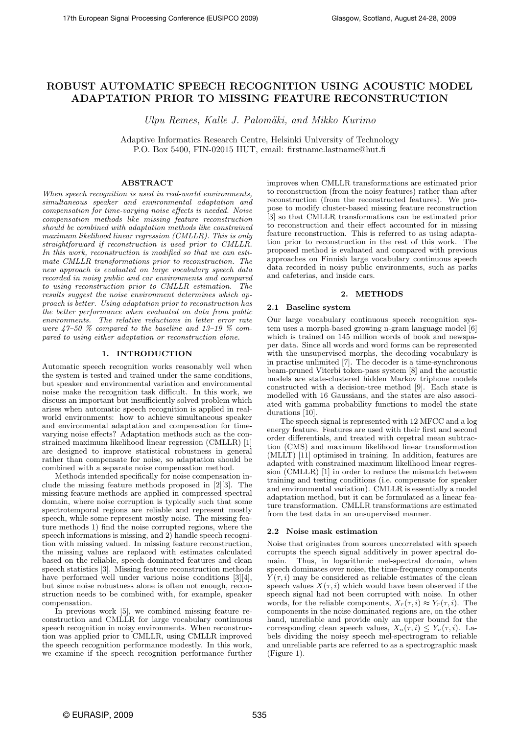# ROBUST AUTOMATIC SPEECH RECOGNITION USING ACOUSTIC MODEL ADAPTATION PRIOR TO MISSING FEATURE RECONSTRUCTION

Ulpu Remes, Kalle J. Palomäki, and Mikko Kurimo

Adaptive Informatics Research Centre, Helsinki University of Technology P.O. Box 5400, FIN-02015 HUT, email: firstname.lastname@hut.fi

## ABSTRACT

When speech recognition is used in real-world environments, simultaneous speaker and environmental adaptation and compensation for time-varying noise effects is needed. Noise compensation methods like missing feature reconstruction should be combined with adaptation methods like constrained maximum likelihood linear regression (CMLLR). This is only straightforward if reconstruction is used prior to CMLLR. In this work, reconstruction is modified so that we can estimate CMLLR transformations prior to reconstruction. The new approach is evaluated on large vocabulary speech data recorded in noisy public and car environments and compared to using reconstruction prior to CMLLR estimation. The results suggest the noise environment determines which approach is better. Using adaptation prior to reconstruction has the better performance when evaluated on data from public environments. The relative reductions in letter error rate were  $47-50$  % compared to the baseline and  $13-19$  % compared to using either adaptation or reconstruction alone.

#### 1. INTRODUCTION

Automatic speech recognition works reasonably well when the system is tested and trained under the same conditions, but speaker and environmental variation and environmental noise make the recognition task difficult. In this work, we discuss an important but insufficiently solved problem which arises when automatic speech recognition is applied in realworld environments: how to achieve simultaneous speaker and environmental adaptation and compensation for timevarying noise effects? Adaptation methods such as the constrained maximum likelihood linear regression (CMLLR) [1] are designed to improve statistical robustness in general rather than compensate for noise, so adaptation should be combined with a separate noise compensation method.

Methods intended specifically for noise compensation include the missing feature methods proposed in [2][3]. The missing feature methods are applied in compressed spectral domain, where noise corruption is typically such that some spectrotemporal regions are reliable and represent mostly speech, while some represent mostly noise. The missing feature methods 1) find the noise corrupted regions, where the speech informations is missing, and 2) handle speech recognition with missing valued. In missing feature reconstruction, the missing values are replaced with estimates calculated based on the reliable, speech dominated features and clean speech statistics [3]. Missing feature reconstruction methods have performed well under various noise conditions [3][4], but since noise robustness alone is often not enough, reconstruction needs to be combined with, for example, speaker compensation.

In previous work [5], we combined missing feature reconstruction and CMLLR for large vocabulary continuous speech recognition in noisy environments. When reconstruction was applied prior to CMLLR, using CMLLR improved the speech recognition performance modestly. In this work, we examine if the speech recognition performance further improves when CMLLR transformations are estimated prior to reconstruction (from the noisy features) rather than after reconstruction (from the reconstructed features). We propose to modify cluster-based missing feature reconstruction [3] so that CMLLR transformations can be estimated prior to reconstruction and their effect accounted for in missing feature reconstruction. This is referred to as using adaptation prior to reconstruction in the rest of this work. The proposed method is evaluated and compared with previous approaches on Finnish large vocabulary continuous speech data recorded in noisy public environments, such as parks and cafeterias, and inside cars.

## 2. METHODS

# 2.1 Baseline system

Our large vocabulary continuous speech recognition system uses a morph-based growing n-gram language model [6] which is trained on 145 million words of book and newspaper data. Since all words and word forms can be represented with the unsupervised morphs, the decoding vocabulary is in practise unlimited [7]. The decoder is a time-synchronous beam-pruned Viterbi token-pass system [8] and the acoustic models are state-clustered hidden Markov triphone models constructed with a decision-tree method [9]. Each state is modelled with 16 Gaussians, and the states are also associated with gamma probability functions to model the state durations [10].

The speech signal is represented with 12 MFCC and a log energy feature. Features are used with their first and second order differentials, and treated with cepstral mean subtraction (CMS) and maximum likelihood linear transformation (MLLT) [11] optimised in training. In addition, features are adapted with constrained maximum likelihood linear regression (CMLLR) [1] in order to reduce the mismatch between training and testing conditions (i.e. compensate for speaker and environmental variation). CMLLR is essentially a model adaptation method, but it can be formulated as a linear feature transformation. CMLLR transformations are estimated from the test data in an unsupervised manner.

## 2.2 Noise mask estimation

Noise that originates from sources uncorrelated with speech corrupts the speech signal additively in power spectral domain. Thus, in logarithmic mel-spectral domain, when speech dominates over noise, the time-frequency components  $Y(\tau, i)$  may be considered as reliable estimates of the clean speech values  $X(\tau, i)$  which would have been observed if the speech signal had not been corrupted with noise. In other words, for the reliable components,  $X_r(\tau, i) \approx Y_r(\tau, i)$ . The components in the noise dominated regions are, on the other hand, unreliable and provide only an upper bound for the corresponding clean speech values,  $X_u(\tau, i) \leq Y_u(\tau, i)$ . Labels dividing the noisy speech mel-spectrogram to reliable and unreliable parts are referred to as a spectrographic mask (Figure 1).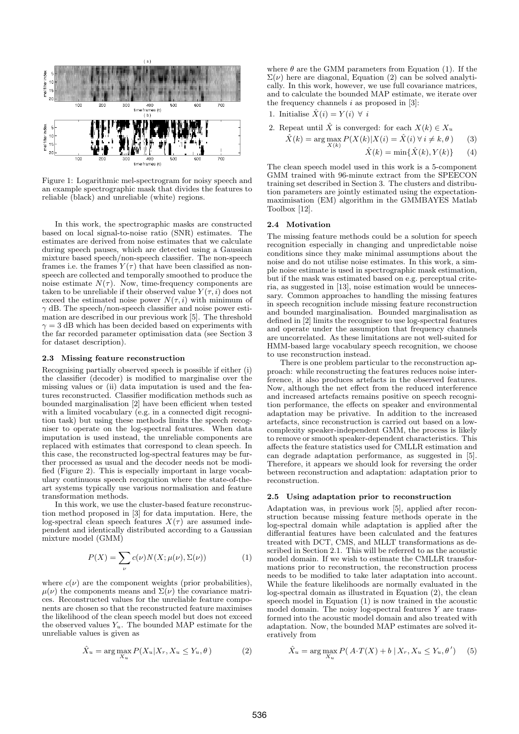

Figure 1: Logarithmic mel-spectrogram for noisy speech and an example spectrographic mask that divides the features to reliable (black) and unreliable (white) regions.

In this work, the spectrographic masks are constructed based on local signal-to-noise ratio (SNR) estimates. The estimates are derived from noise estimates that we calculate during speech pauses, which are detected using a Gaussian mixture based speech/non-speech classifier. The non-speech frames i.e. the frames  $Y(\tau)$  that have been classified as nonspeech are collected and temporally smoothed to produce the noise estimate  $N(\tau)$ . Now, time-frequency components are taken to be unreliable if their observed value  $Y(\tau, i)$  does not exceed the estimated noise power  $N(\tau, i)$  with minimum of  $\gamma$  dB. The speech/non-speech classifier and noise power estimation are described in our previous work [5]. The threshold  $\gamma = 3$  dB which has been decided based on experiments with the far recorded parameter optimisation data (see Section 3 for dataset description).

#### 2.3 Missing feature reconstruction

Recognising partially observed speech is possible if either (i) the classifier (decoder) is modified to marginalise over the missing values or (ii) data imputation is used and the features reconstructed. Classifier modification methods such as bounded marginalisation [2] have been efficient when tested with a limited vocabulary (e.g. in a connected digit recognition task) but using these methods limits the speech recogniser to operate on the log-spectral features. When data imputation is used instead, the unreliable components are replaced with estimates that correspond to clean speech. In this case, the reconstructed log-spectral features may be further processed as usual and the decoder needs not be modified (Figure 2). This is especially important in large vocabulary continuous speech recognition where the state-of-theart systems typically use various normalisation and feature transformation methods.

In this work, we use the cluster-based feature reconstruction method proposed in [3] for data imputation. Here, the log-spectral clean speech features  $X(\tau)$  are assumed independent and identically distributed according to a Gaussian mixture model (GMM)

$$
P(X) = \sum_{\nu} c(\nu) N(X; \mu(\nu), \Sigma(\nu))
$$
 (1)

where  $c(\nu)$  are the component weights (prior probabilities),  $\mu(\nu)$  the components means and  $\Sigma(\nu)$  the covariance matrices. Reconstructed values for the unreliable feature components are chosen so that the reconstructed feature maximises the likelihood of the clean speech model but does not exceed the observed values  $Y_u$ . The bounded MAP estimate for the unreliable values is given as

$$
\hat{X}_u = \arg\max_{X_u} P(X_u | X_r, X_u \le Y_u, \theta)
$$
\n(2)

where  $\theta$  are the GMM parameters from Equation (1). If the  $\Sigma(\nu)$  here are diagonal, Equation (2) can be solved analytically. In this work, however, we use full covariance matrices, and to calculate the bounded MAP estimate, we iterate over the frequency channels  $i$  as proposed in [3]:

1. Initialize 
$$
\hat{X}(i) = Y(i) \ \forall \ i
$$

2. Repeat until  $\hat{X}$  is converged: for each  $X(k) \in X_u$ 

$$
\hat{X}(k) = \arg \max_{X(k)} P(X(k)|X(i) = \hat{X}(i) \,\forall \, i \neq k, \theta) \tag{3}
$$

$$
\hat{X}(k) = \min\{\hat{X}(k), Y(k)\} \qquad (4)
$$

The clean speech model used in this work is a 5-component GMM trained with 96-minute extract from the SPEECON training set described in Section 3. The clusters and distribution parameters are jointly estimated using the expectationmaximisation (EM) algorithm in the GMMBAYES Matlab Toolbox [12].

## 2.4 Motivation

The missing feature methods could be a solution for speech recognition especially in changing and unpredictable noise conditions since they make minimal assumptions about the noise and do not utilise noise estimates. In this work, a simple noise estimate is used in spectrographic mask estimation, but if the mask was estimated based on e.g. perceptual criteria, as suggested in [13], noise estimation would be unnecessary. Common approaches to handling the missing features in speech recognition include missing feature reconstruction and bounded marginalisation. Bounded marginalisation as defined in [2] limits the recogniser to use log-spectral features and operate under the assumption that frequency channels are uncorrelated. As these limitations are not well-suited for HMM-based large vocabulary speech recognition, we choose to use reconstruction instead.

There is one problem particular to the reconstruction approach: while reconstructing the features reduces noise interference, it also produces artefacts in the observed features. Now, although the net effect from the reduced interference and increased artefacts remains positive on speech recognition performance, the effects on speaker and environmental adaptation may be privative. In addition to the increased artefacts, since reconstruction is carried out based on a lowcomplexity speaker-independent GMM, the process is likely to remove or smooth speaker-dependent characteristics. This affects the feature statistics used for CMLLR estimation and can degrade adaptation performance, as suggested in [5]. Therefore, it appears we should look for reversing the order between reconstruction and adaptation: adaptation prior to reconstruction.

#### 2.5 Using adaptation prior to reconstruction

Adaptation was, in previous work [5], applied after reconstruction because missing feature methods operate in the log-spectral domain while adaptation is applied after the differantial features have been calculated and the features treated with DCT, CMS, and MLLT transformations as described in Section 2.1. This will be referred to as the acoustic model domain. If we wish to estimate the CMLLR transformations prior to reconstruction, the reconstruction process needs to be modified to take later adaptation into account. While the feature likelihoods are normally evaluated in the log-spectral domain as illustrated in Equation (2), the clean speech model in Equation (1) is now trained in the acoustic model domain. The noisy log-spectral features  $Y$  are transformed into the acoustic model domain and also treated with adaptation. Now, the bounded MAP estimates are solved iteratively from

$$
\hat{X}_u = \arg\max_{X_u} P(A \cdot T(X) + b \mid X_r, X_u \le Y_u, \theta')
$$
 (5)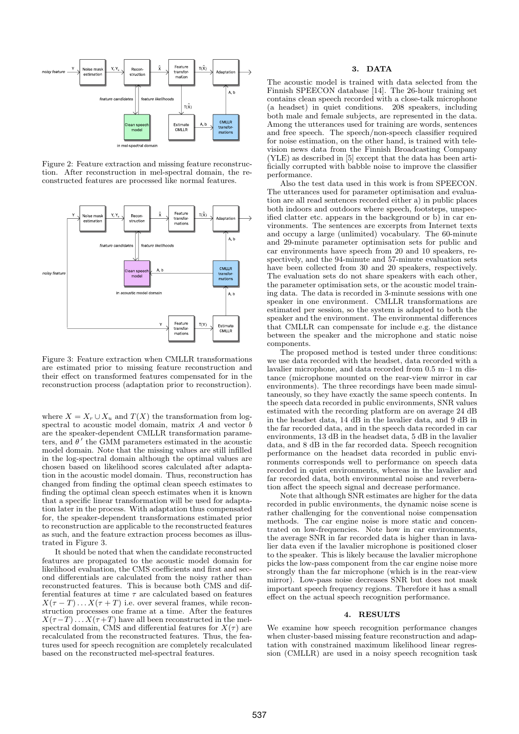

Figure 2: Feature extraction and missing feature reconstruction. After reconstruction in mel-spectral domain, the reconstructed features are processed like normal features.



Figure 3: Feature extraction when CMLLR transformations are estimated prior to missing feature reconstruction and their effect on transformed features compensated for in the reconstruction process (adaptation prior to reconstruction).

where  $X = X_r \cup X_u$  and  $T(X)$  the transformation from logspectral to acoustic model domain, matrix A and vector b are the speaker-dependent CMLLR transformation parameters, and  $\theta'$  the GMM parameters estimated in the acoustic model domain. Note that the missing values are still infilled in the log-spectral domain although the optimal values are chosen based on likelihood scores calculated after adaptation in the acoustic model domain. Thus, reconstruction has changed from finding the optimal clean speech estimates to finding the optimal clean speech estimates when it is known that a specific linear transformation will be used for adaptation later in the process. With adaptation thus compensated for, the speaker-dependent transformations estimated prior to reconstruction are applicable to the reconstructed features as such, and the feature extraction process becomes as illustrated in Figure 3.

It should be noted that when the candidate reconstructed features are propagated to the acoustic model domain for likelihood evaluation, the CMS coefficients and first and second differentials are calculated from the noisy rather than reconstructed features. This is because both CMS and differential features at time  $\tau$  are calculated based on features  $X(\tau - T) \dots X(\tau + T)$  i.e. over several frames, while reconstruction processes one frame at a time. After the features  $X(\tau-T) \dots X(\tau+T)$  have all been reconstructed in the melspectral domain, CMS and differential features for  $X(\tau)$  are recalculated from the reconstructed features. Thus, the features used for speech recognition are completely recalculated based on the reconstructed mel-spectral features.

## 3. DATA

The acoustic model is trained with data selected from the Finnish SPEECON database [14]. The 26-hour training set contains clean speech recorded with a close-talk microphone (a headset) in quiet conditions. 208 speakers, including both male and female subjects, are represented in the data. Among the utterances used for training are words, sentences and free speech. The speech/non-speech classifier required for noise estimation, on the other hand, is trained with television news data from the Finnish Broadcasting Company (YLE) as described in [5] except that the data has been artificially corrupted with babble noise to improve the classifier performance.

Also the test data used in this work is from SPEECON. The utterances used for parameter optimisation and evaluation are all read sentences recorded either a) in public places both indoors and outdoors where speech, footsteps, unspecified clatter etc. appears in the background or  $\overline{b}$  in car environments. The sentences are excerpts from Internet texts and occupy a large (unlimited) vocabulary. The 60-minute and 29-minute parameter optimisation sets for public and car environments have speech from 20 and 10 speakers, respectively, and the 94-minute and 57-minute evaluation sets have been collected from 30 and 20 speakers, respectively. The evaluation sets do not share speakers with each other, the parameter optimisation sets, or the acoustic model training data. The data is recorded in 3-minute sessions with one speaker in one environment. CMLLR transformations are estimated per session, so the system is adapted to both the speaker and the environment. The environmental differences that CMLLR can compensate for include e.g. the distance between the speaker and the microphone and static noise components.

The proposed method is tested under three conditions: we use data recorded with the headset, data recorded with a lavalier microphone, and data recorded from 0.5 m–1 m distance (microphone mounted on the rear-view mirror in car environments). The three recordings have been made simultaneously, so they have exactly the same speech contents. In the speech data recorded in public environments, SNR values estimated with the recording platform are on average 24 dB in the headset data, 14 dB in the lavalier data, and 9 dB in the far recorded data, and in the speech data recorded in car environments, 13 dB in the headset data, 5 dB in the lavalier data, and 8 dB in the far recorded data. Speech recognition performance on the headset data recorded in public environments corresponds well to performance on speech data recorded in quiet environments, whereas in the lavalier and far recorded data, both environmental noise and reverberation affect the speech signal and decrease performance.

Note that although SNR estimates are higher for the data recorded in public environments, the dynamic noise scene is rather challenging for the conventional noise compensation methods. The car engine noise is more static and concentrated on low-frequencies. Note how in car environments, the average SNR in far recorded data is higher than in lavalier data even if the lavalier microphone is positioned closer to the speaker. This is likely because the lavalier microphone picks the low-pass component from the car engine noise more strongly than the far microphone (which is in the rear-view mirror). Low-pass noise decreases SNR but does not mask important speech frequency regions. Therefore it has a small effect on the actual speech recognition performance.

# 4. RESULTS

We examine how speech recognition performance changes when cluster-based missing feature reconstruction and adaptation with constrained maximum likelihood linear regression (CMLLR) are used in a noisy speech recognition task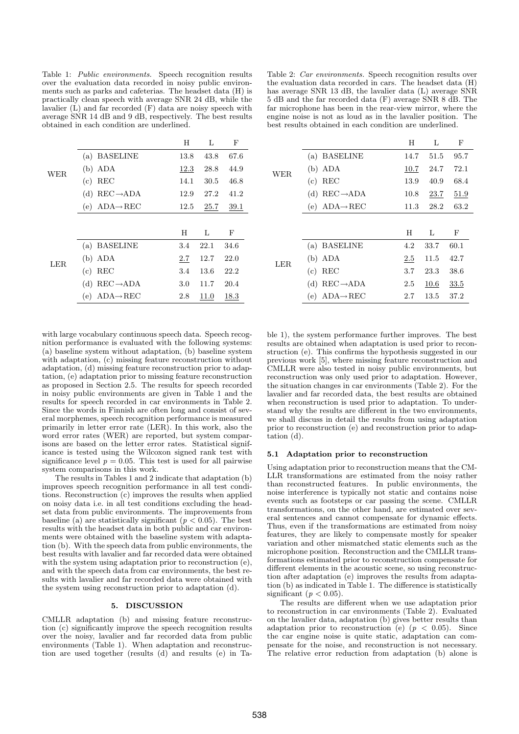Table 1: Public environments. Speech recognition results over the evaluation data recorded in noisy public environments such as parks and cafeterias. The headset data (H) is practically clean speech with average SNR 24 dB, while the lavalier (L) and far recorded (F) data are noisy speech with average SNR 14 dB and 9 dB, respectively. The best results obtained in each condition are underlined.

|            |                              | H    | Τ.   | F    |
|------------|------------------------------|------|------|------|
| <b>WER</b> | (a) BASELINE                 | 13.8 | 43.8 | 67.6 |
|            | $(b)$ ADA                    | 12.3 | 28.8 | 44.9 |
|            | $(c)$ REC                    | 14.1 | 30.5 | 46.8 |
|            | (d) $REC \rightarrow ADA$    | 12.9 | 27.2 | 41.2 |
|            | (e) $ADA \rightarrow REC$    | 12.5 | 25.7 | 39.1 |
|            |                              |      |      |      |
| LER.       |                              | H    | L    | F    |
|            | (a) BASELINE                 | 3.4  | 22.1 | 34.6 |
|            | $(b)$ ADA                    | 2.7  | 12.7 | 22.0 |
|            | REC<br>(c)                   | 3.4  | 13.6 | 22.2 |
|            | (d) $REC \rightarrow ADA$    | 3.0  | 11.7 | 20.4 |
|            | $ADA \rightarrow REC$<br>(e) | 2.8  | 11.0 | 18.3 |
|            |                              |      |      |      |

Table 2: Car environments. Speech recognition results over the evaluation data recorded in cars. The headset data (H) has average SNR 13 dB, the lavalier data (L) average SNR 5 dB and the far recorded data (F) average SNR 8 dB. The far microphone has been in the rear-view mirror, where the engine noise is not as loud as in the lavalier position. The best results obtained in each condition are underlined.

|            |                              | Н    | L    | F    |
|------------|------------------------------|------|------|------|
| <b>WER</b> | <b>BASELINE</b><br>(a)       | 14.7 | 51.5 | 95.7 |
|            | $(b)$ ADA                    | 10.7 | 24.7 | 72.1 |
|            | REC<br>(c)                   | 13.9 | 40.9 | 68.4 |
|            | (d) $REC \rightarrow ADA$    | 10.8 | 23.7 | 51.9 |
|            | (e) $ADA \rightarrow REC$    | 11.3 | 28.2 | 63.2 |
|            |                              |      |      |      |
| <b>LER</b> |                              | H    | L    | F    |
|            | (a) BASELINE                 | 4.2  | 33.7 | 60.1 |
|            | $(b)$ ADA                    | 2.5  | 11.5 | 42.7 |
|            | REC<br>(c)                   | 3.7  | 23.3 | 38.6 |
|            | $REC \rightarrow ADA$<br>(d) | 2.5  | 10.6 | 33.5 |
|            | $ADA \rightarrow REC$<br>(e) | 2.7  | 13.5 | 37.2 |

with large vocabulary continuous speech data. Speech recognition performance is evaluated with the following systems: (a) baseline system without adaptation, (b) baseline system with adaptation, (c) missing feature reconstruction without adaptation, (d) missing feature reconstruction prior to adaptation, (e) adaptation prior to missing feature reconstruction as proposed in Section 2.5. The results for speech recorded in noisy public environments are given in Table 1 and the results for speech recorded in car environments in Table 2. Since the words in Finnish are often long and consist of several morphemes, speech recognition performance is measured primarily in letter error rate (LER). In this work, also the word error rates (WER) are reported, but system comparisons are based on the letter error rates. Statistical significance is tested using the Wilcoxon signed rank test with significance level  $p = 0.05$ . This test is used for all pairwise system comparisons in this work.

The results in Tables 1 and 2 indicate that adaptation (b) improves speech recognition performance in all test conditions. Reconstruction (c) improves the results when applied on noisy data i.e. in all test conditions excluding the headset data from public environments. The improvements from baseline (a) are statistically significant ( $p < 0.05$ ). The best results with the headset data in both public and car environments were obtained with the baseline system with adaptation (b). With the speech data from public environments, the best results with lavalier and far recorded data were obtained with the system using adaptation prior to reconstruction (e), and with the speech data from car environments, the best results with lavalier and far recorded data were obtained with the system using reconstruction prior to adaptation (d).

#### 5. DISCUSSION

CMLLR adaptation (b) and missing feature reconstruction (c) significantly improve the speech recognition results over the noisy, lavalier and far recorded data from public environments (Table 1). When adaptation and reconstruction are used together (results (d) and results (e) in Table 1), the system performance further improves. The best results are obtained when adaptation is used prior to reconstruction (e). This confirms the hypothesis suggested in our previous work [5], where missing feature reconstruction and CMLLR were also tested in noisy public environments, but reconstruction was only used prior to adaptation. However, the situation changes in car environments (Table 2). For the lavalier and far recorded data, the best results are obtained when reconstruction is used prior to adaptation. To understand why the results are different in the two environments, we shall discuss in detail the results from using adaptation prior to reconstruction (e) and reconstruction prior to adaptation (d).

#### 5.1 Adaptation prior to reconstruction

Using adaptation prior to reconstruction means that the CM-LLR transformations are estimated from the noisy rather than reconstructed features. In public environments, the noise interference is typically not static and contains noise events such as footsteps or car passing the scene. CMLLR transformations, on the other hand, are estimated over several sentences and cannot compensate for dynamic effects. Thus, even if the transformations are estimated from noisy features, they are likely to compensate mostly for speaker variation and other mismatched static elements such as the microphone position. Reconstruction and the CMLLR transformations estimated prior to reconstruction compensate for different elements in the acoustic scene, so using reconstruction after adaptation (e) improves the results from adaptation (b) as indicated in Table 1. The difference is statistically significant ( $p < 0.05$ ).

The results are different when we use adaptation prior to reconstruction in car environments (Table 2). Evaluated on the lavalier data, adaptation (b) gives better results than adaptation prior to reconstruction (e)  $(p < 0.05)$ . Since the car engine noise is quite static, adaptation can compensate for the noise, and reconstruction is not necessary. The relative error reduction from adaptation (b) alone is